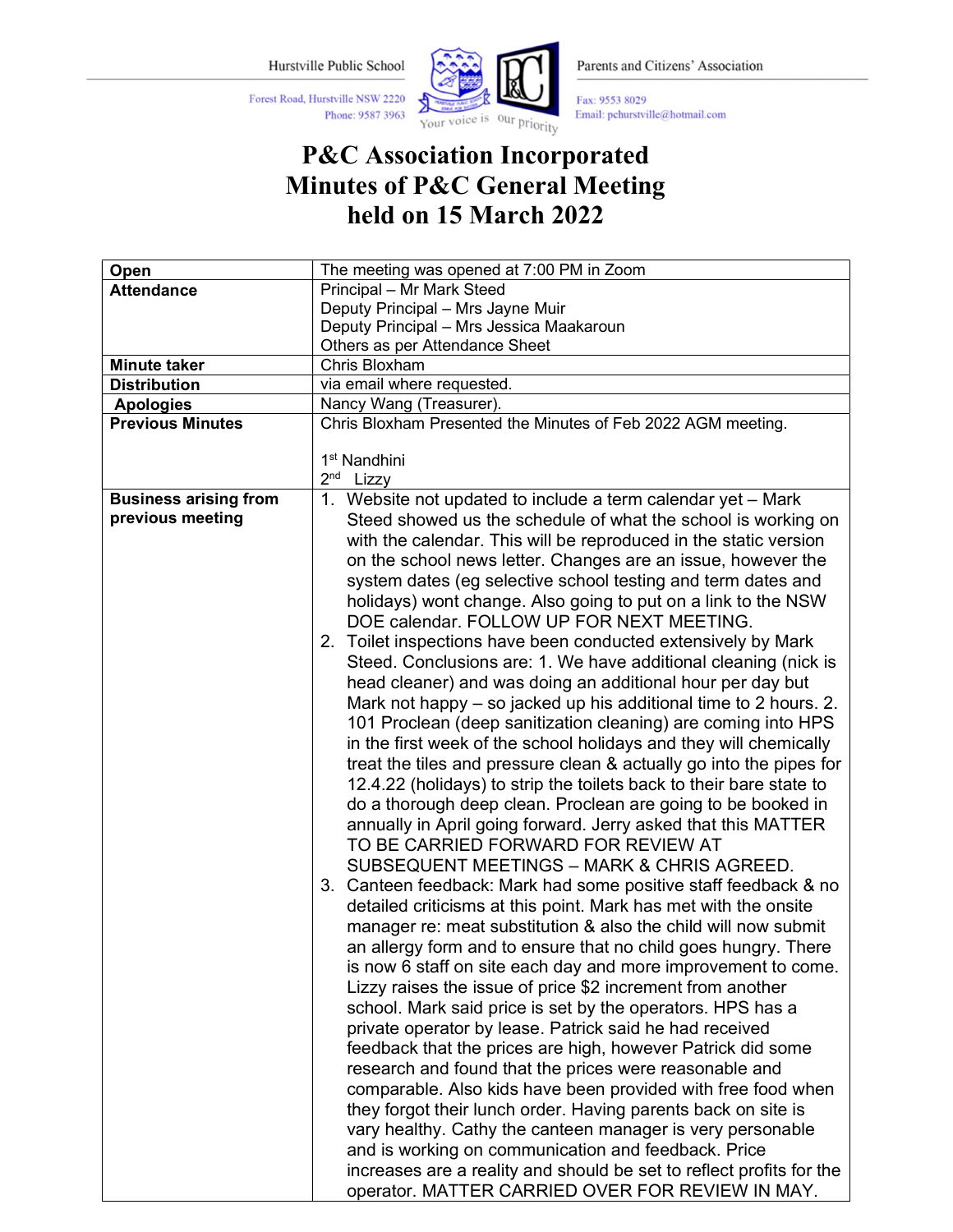Phone: 9587 3963

Forest Road, Hurstville NSW 2220



Parents and Citizens' Association

Fax: 9553 8029 Email: pchurstville@hotmail.com

## P&C Association Incorporated Minutes of P&C General Meeting held on 15 March 2022

| Open                         | The meeting was opened at 7:00 PM in Zoom                            |  |  |  |
|------------------------------|----------------------------------------------------------------------|--|--|--|
| <b>Attendance</b>            | Principal - Mr Mark Steed                                            |  |  |  |
|                              | Deputy Principal - Mrs Jayne Muir                                    |  |  |  |
|                              | Deputy Principal - Mrs Jessica Maakaroun                             |  |  |  |
|                              | Others as per Attendance Sheet                                       |  |  |  |
| <b>Minute taker</b>          | Chris Bloxham                                                        |  |  |  |
| <b>Distribution</b>          | via email where requested.                                           |  |  |  |
| <b>Apologies</b>             | Nancy Wang (Treasurer).                                              |  |  |  |
| <b>Previous Minutes</b>      | Chris Bloxham Presented the Minutes of Feb 2022 AGM meeting.         |  |  |  |
|                              |                                                                      |  |  |  |
|                              | 1 <sup>st</sup> Nandhini                                             |  |  |  |
|                              | 2 <sup>nd</sup> Lizzy                                                |  |  |  |
| <b>Business arising from</b> | 1. Website not updated to include a term calendar yet - Mark         |  |  |  |
| previous meeting             | Steed showed us the schedule of what the school is working on        |  |  |  |
|                              | with the calendar. This will be reproduced in the static version     |  |  |  |
|                              | on the school news letter. Changes are an issue, however the         |  |  |  |
|                              | system dates (eg selective school testing and term dates and         |  |  |  |
|                              | holidays) wont change. Also going to put on a link to the NSW        |  |  |  |
|                              | DOE calendar. FOLLOW UP FOR NEXT MEETING.                            |  |  |  |
|                              |                                                                      |  |  |  |
|                              | 2. Toilet inspections have been conducted extensively by Mark        |  |  |  |
|                              | Steed. Conclusions are: 1. We have additional cleaning (nick is      |  |  |  |
|                              | head cleaner) and was doing an additional hour per day but           |  |  |  |
|                              | Mark not happy – so jacked up his additional time to 2 hours. 2.     |  |  |  |
|                              | 101 Proclean (deep sanitization cleaning) are coming into HPS        |  |  |  |
|                              | in the first week of the school holidays and they will chemically    |  |  |  |
|                              | treat the tiles and pressure clean & actually go into the pipes for  |  |  |  |
|                              | 12.4.22 (holidays) to strip the toilets back to their bare state to  |  |  |  |
|                              | do a thorough deep clean. Proclean are going to be booked in         |  |  |  |
|                              | annually in April going forward. Jerry asked that this MATTER        |  |  |  |
|                              | TO BE CARRIED FORWARD FOR REVIEW AT                                  |  |  |  |
|                              | SUBSEQUENT MEETINGS - MARK & CHRIS AGREED.                           |  |  |  |
|                              | 3. Canteen feedback: Mark had some positive staff feedback & no      |  |  |  |
|                              | detailed criticisms at this point. Mark has met with the onsite      |  |  |  |
|                              | manager re: meat substitution & also the child will now submit       |  |  |  |
|                              | an allergy form and to ensure that no child goes hungry. There       |  |  |  |
|                              | is now 6 staff on site each day and more improvement to come.        |  |  |  |
|                              |                                                                      |  |  |  |
|                              | Lizzy raises the issue of price \$2 increment from another           |  |  |  |
|                              | school. Mark said price is set by the operators. HPS has a           |  |  |  |
|                              | private operator by lease. Patrick said he had received              |  |  |  |
|                              | feedback that the prices are high, however Patrick did some          |  |  |  |
|                              | research and found that the prices were reasonable and               |  |  |  |
|                              | comparable. Also kids have been provided with free food when         |  |  |  |
|                              | they forgot their lunch order. Having parents back on site is        |  |  |  |
|                              | vary healthy. Cathy the canteen manager is very personable           |  |  |  |
|                              | and is working on communication and feedback. Price                  |  |  |  |
|                              | increases are a reality and should be set to reflect profits for the |  |  |  |
|                              | operator. MATTER CARRIED OVER FOR REVIEW IN MAY.                     |  |  |  |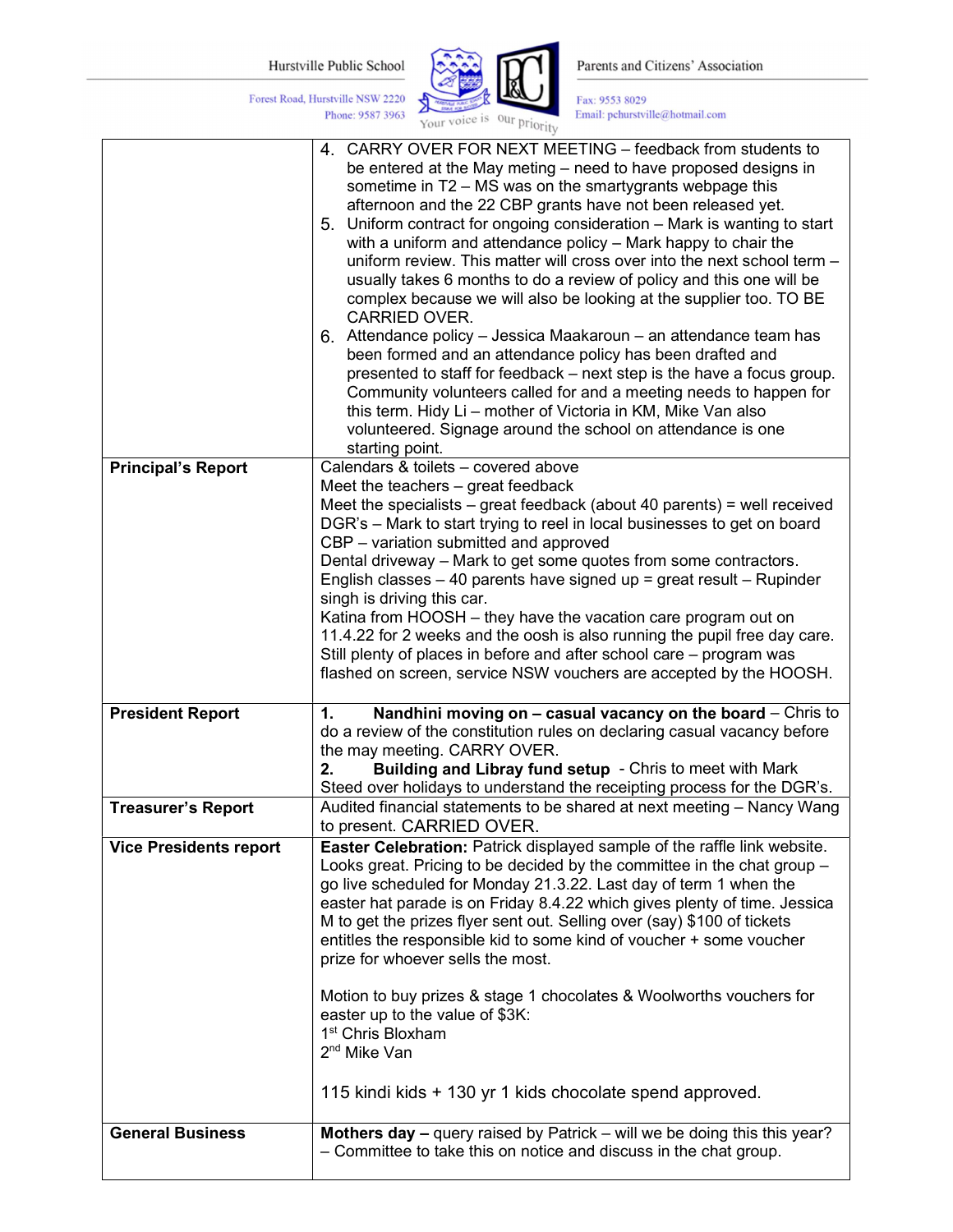Phone: 9587 3963

Forest Road, Hurstville NSW 2220



Parents and Citizens' Association

Fax: 9553 8029 Email: pchurstville@hotmail.com

|                               | $-11V$                                                                                                                                                                                                                                                                                                                                                                                                                                                                                                                                                                                                                                                                                                                                                                                                                                                                                                                                                                                                                                                                              |
|-------------------------------|-------------------------------------------------------------------------------------------------------------------------------------------------------------------------------------------------------------------------------------------------------------------------------------------------------------------------------------------------------------------------------------------------------------------------------------------------------------------------------------------------------------------------------------------------------------------------------------------------------------------------------------------------------------------------------------------------------------------------------------------------------------------------------------------------------------------------------------------------------------------------------------------------------------------------------------------------------------------------------------------------------------------------------------------------------------------------------------|
|                               | 4. CARRY OVER FOR NEXT MEETING - feedback from students to<br>be entered at the May meting - need to have proposed designs in<br>sometime in T2 - MS was on the smartygrants webpage this<br>afternoon and the 22 CBP grants have not been released yet.<br>5. Uniform contract for ongoing consideration - Mark is wanting to start<br>with a uniform and attendance policy - Mark happy to chair the<br>uniform review. This matter will cross over into the next school term -<br>usually takes 6 months to do a review of policy and this one will be<br>complex because we will also be looking at the supplier too. TO BE<br>CARRIED OVER.<br>6. Attendance policy - Jessica Maakaroun - an attendance team has<br>been formed and an attendance policy has been drafted and<br>presented to staff for feedback - next step is the have a focus group.<br>Community volunteers called for and a meeting needs to happen for<br>this term. Hidy Li - mother of Victoria in KM, Mike Van also<br>volunteered. Signage around the school on attendance is one<br>starting point. |
| <b>Principal's Report</b>     | Calendars & toilets - covered above                                                                                                                                                                                                                                                                                                                                                                                                                                                                                                                                                                                                                                                                                                                                                                                                                                                                                                                                                                                                                                                 |
|                               | Meet the teachers - great feedback<br>Meet the specialists $-$ great feedback (about 40 parents) = well received<br>DGR's - Mark to start trying to reel in local businesses to get on board<br>CBP - variation submitted and approved<br>Dental driveway - Mark to get some quotes from some contractors.<br>English classes - 40 parents have signed up = great result - Rupinder<br>singh is driving this car.<br>Katina from HOOSH - they have the vacation care program out on<br>11.4.22 for 2 weeks and the oosh is also running the pupil free day care.<br>Still plenty of places in before and after school care - program was<br>flashed on screen, service NSW vouchers are accepted by the HOOSH.                                                                                                                                                                                                                                                                                                                                                                      |
|                               |                                                                                                                                                                                                                                                                                                                                                                                                                                                                                                                                                                                                                                                                                                                                                                                                                                                                                                                                                                                                                                                                                     |
| <b>President Report</b>       | Nandhini moving on $-$ casual vacancy on the board $-$ Chris to<br>1.<br>do a review of the constitution rules on declaring casual vacancy before<br>the may meeting. CARRY OVER.<br>Building and Libray fund setup - Chris to meet with Mark<br>2.<br>Steed over holidays to understand the receipting process for the DGR's.                                                                                                                                                                                                                                                                                                                                                                                                                                                                                                                                                                                                                                                                                                                                                      |
| <b>Treasurer's Report</b>     | Audited financial statements to be shared at next meeting - Nancy Wang<br>to present. CARRIED OVER.                                                                                                                                                                                                                                                                                                                                                                                                                                                                                                                                                                                                                                                                                                                                                                                                                                                                                                                                                                                 |
| <b>Vice Presidents report</b> | Easter Celebration: Patrick displayed sample of the raffle link website.<br>Looks great. Pricing to be decided by the committee in the chat group -<br>go live scheduled for Monday 21.3.22. Last day of term 1 when the<br>easter hat parade is on Friday 8.4.22 which gives plenty of time. Jessica<br>M to get the prizes flyer sent out. Selling over (say) \$100 of tickets<br>entitles the responsible kid to some kind of voucher + some voucher<br>prize for whoever sells the most.<br>Motion to buy prizes & stage 1 chocolates & Woolworths vouchers for<br>easter up to the value of \$3K:<br>1 <sup>st</sup> Chris Bloxham<br>2 <sup>nd</sup> Mike Van<br>115 kindi kids + 130 yr 1 kids chocolate spend approved.                                                                                                                                                                                                                                                                                                                                                     |
|                               |                                                                                                                                                                                                                                                                                                                                                                                                                                                                                                                                                                                                                                                                                                                                                                                                                                                                                                                                                                                                                                                                                     |
| <b>General Business</b>       | Mothers day - query raised by Patrick - will we be doing this this year?<br>- Committee to take this on notice and discuss in the chat group.                                                                                                                                                                                                                                                                                                                                                                                                                                                                                                                                                                                                                                                                                                                                                                                                                                                                                                                                       |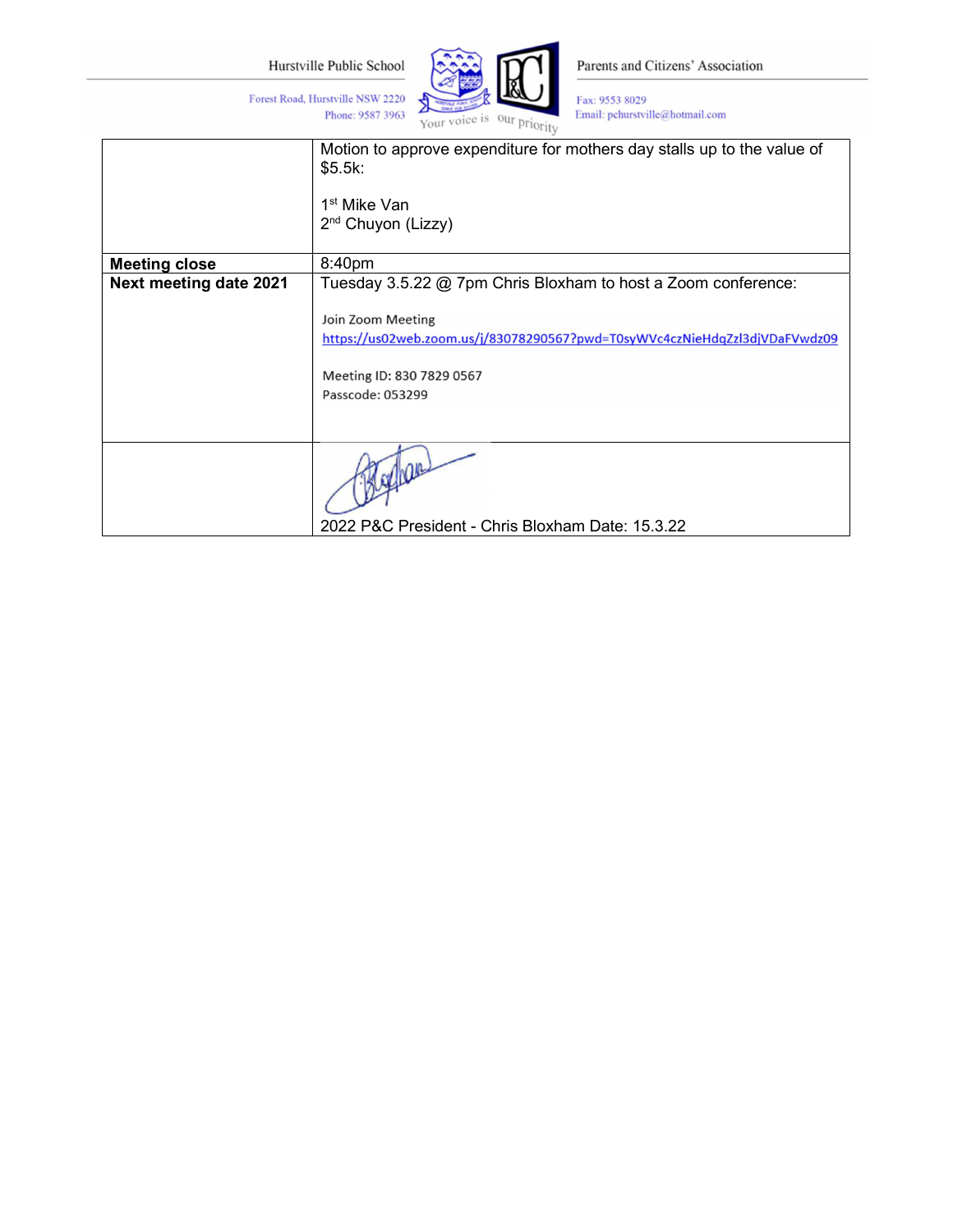Phone: 9587 3963

Forest Road, Hurstville NSW 2220



Parents and Citizens' Association

Fax: 9553 8029 Email: pchurstville@hotmail.com

|                        | Motion to approve expenditure for mothers day stalls up to the value of<br>\$5.5k:<br>1 <sup>st</sup> Mike Van<br>2 <sup>nd</sup> Chuyon (Lizzy) |  |
|------------------------|--------------------------------------------------------------------------------------------------------------------------------------------------|--|
| <b>Meeting close</b>   | 8:40pm                                                                                                                                           |  |
| Next meeting date 2021 | Tuesday 3.5.22 @ 7pm Chris Bloxham to host a Zoom conference:                                                                                    |  |
|                        | Join Zoom Meeting<br>https://us02web.zoom.us/j/83078290567?pwd=T0syWVc4czNieHdqZzl3djVDaFVwdz09<br>Meeting ID: 830 7829 0567<br>Passcode: 053299 |  |
|                        | 2022 P&C President - Chris Bloxham Date: 15.3.22                                                                                                 |  |